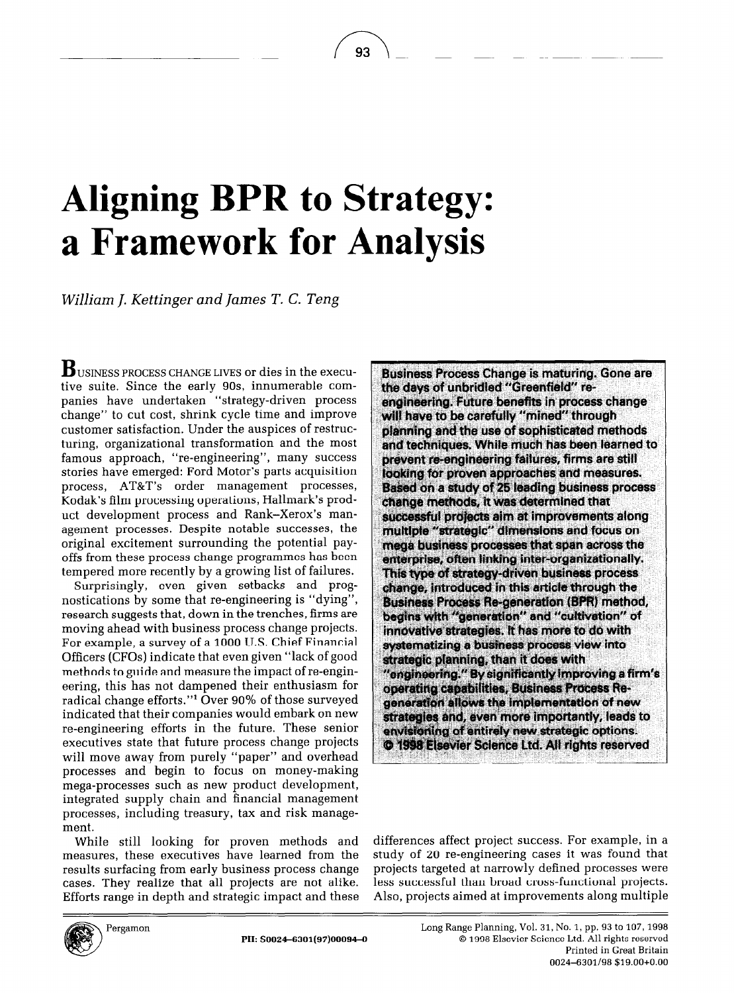## **Aligning BPR to Strategy: a Framework for Analysis**

93

*William J. Kettinger and James T. C. Teng* 

**B** USINESS PROCESS CHANGE **LIVES or** dies in the executive suite. Since the early 9Os, innumerable companies have undertaken "strategy-driven process change" to cut cost, shrink cycle time and improve customer satisfaction. Under the auspices of restructuring, organizational transformation and the most famous approach, "re-engineering", many success stories have emerged: Ford Motor's parts acquisition process, AT&T's order management processes, Kodak's film processing operations, Hallmark's product development process and Rank-Xerox's management processes. Despite notable successes, the original excitement surrounding the potential payoffs from these process change programmes has been tempered more recently by a growing list of failures.

Surprisingly, even given setbacks and prognostications by some that re-engineering is "dying", research suggests that, down in the trenches, firms are moving ahead with business process change projects. For example, a survey of a 1000 U.S. Chief Financial Officers (CFOs) indicate that even given "lack of good methods to guide and measure the impact of re-engineering, this has not dampened their enthusiasm for radical change efforts."\* Over 90% of those surveyed indicated that their companies would embark on new re-engineering efforts in the future. These senior executives state that future process change projects will move away from purely "paper" and overhead processes and begin to focus on money-making mega-processes such as new product development, integrated supply chain and financial management processes, including treasury, tax and risk management.

While still looking for proven methods and measures, these executives have learned from the results surfacing from early business process change cases. They realize that all projects are not alike. Efforts range in depth and strategic impact and these **Business Process Change is maturing. Gone are** the days of unbridled "Greenfield" reengineering. Future benefits in process change will have to be carefully "mined" through planning and the use of sophisticated methods and techniques. While much has been learned to prevent re-engineering failures, firms are still looking for proven approaches and measures. Based on a study of 25 leading business process change methods, it was determined that successful projects aim at improvements along multiple "strategic" dimensions and focus on mega business processes that span across the enterprise, often linking inter-organizationally. This type of strategy-driven business process change, introduced in this article through the **Business Process Re-generation (BPR) method,** begins with "generation" and "cultivation" of innovative strategies. It has more to do with systematizing a business process view into strategic planning, than it does with "engineering." By significantly improving a firm's operating capabilities, Business Process Regeneration allows the implementation of new strategies and, even more importantly, leads to envisioning of entirely new strategic options. **C 1998 Elsevier Science Ltd. All rights reserved** 

differences affect project success. For example, in a study of 20 re-engineering cases it was found that projects targeted at narrowly defined processes were less successful than broad cross-functional projects. Also, projects aimed at improvements along multiple

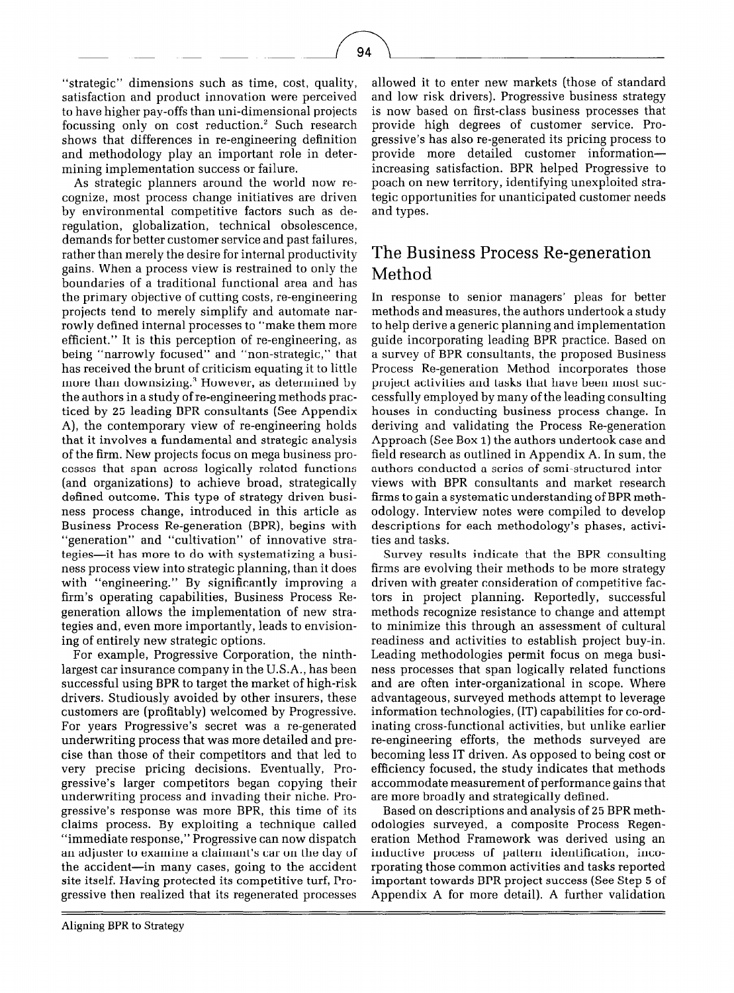"strategic" dimensions such as time, cost, quality, satisfaction and product innovation were perceived to have higher pay-offs than uni-dimensional projects focussing only on cost reduction.' Such research shows that differences in re-engineering definition and methodology play an important role in determining implementation success or failure.

As strategic planners around the world now recognize, most process change initiatives are driven by environmental competitive factors such as deregulation, globalization, technical obsolescence, demands for better customer service and past failures, rather than merely the desire for internal productivity gains. When a process view is restrained to only the boundaries of a traditional functional area and has the primary objective of cutting costs, re-engineering projects tend to merely simplify and automate narrowly defined internal processes to "make them more efficient." It is this perception of re-engineering, as being "narrowly focused" and "non-strategic," that has received the brunt of criticism equating it to little more than downsizing.<sup>3</sup> However, as determined by the authors in a study of re-engineering methods practiced by 25 leading BPR consultants (See Appendix A), the contemporary view of re-engineering holds that it involves a fundamental and strategic analysis of the firm. New projects focus on mega business processes that span across logically related functions (and organizations) to achieve broad, strategically defined outcome. This type of strategy driven business process change, introduced in this article as Business Process Re-generation (BPR), begins with "generation" and "cultivation" of innovative strategies-it has more to do with systematizing a business process view into strategic planning, than it does with "engineering." By significantly improving a firm's operating capabilities, Business Process Regeneration allows the implementation of new strategies and, even more importantly, leads to envisioning of entirely new strategic options.

For example, Progressive Corporation, the ninthlargest car insurance company in the U.S.A., has been successful using BPR to target the market of high-risk drivers. Studiously avoided by other insurers, these customers are (profitably) welcomed by Progressive. For years Progressive's secret was a re-generated underwriting process that was more detailed and precise than those of their competitors and that led to very precise pricing decisions. Eventually, Progressive's larger competitors began copying their underwriting process and invading their niche. Progressive's response was more BPR, this time of its claims process. By exploiting a technique called "immediate response," Progressive can now dispatch an adjuster to examine a claimant's car on the day of the accident-in many cases, going to the accident site itself. Having protected its competitive turf, Progressive then realized that its regenerated processes

allowed it to enter new markets (those of standard and low risk drivers). Progressive business strategy is now based on first-class business processes that provide high degrees of customer service. Progressive's has also re-generated its pricing process to provide more detailed customer informationincreasing satisfaction. BPR helped Progressive to poach on new territory, identifying unexploited strategic opportunities for unanticipated customer needs and types.

## The Business Process Re-generation Method

In response to senior managers' pleas for better methods and measures, the authors undertook a study to help derive a generic planning and implementation guide incorporating leading BPR practice. Based on a survey of BPR consultants, the proposed Business Process Re-generation Method incorporates those project activities and tasks that have been most successfully employed by many of the leading consulting houses in conducting business process change. In deriving and validating the Process Re-generation Approach (See Box 1) the authors undertook case and field research as outlined in Appendix A. In sum, the authors conducted a series of semi-structured interviews with BPR consultants and market research firms to gain a systematic understanding of BPR methodology. Interview notes were compiled to develop descriptions for each methodology's phases, activities and tasks.

Survey results indicate that the BPR consulting firms are evolving their methods to be more strategy driven with greater consideration of competitive factors in project planning. Reportedly, successful methods recognize resistance to change and attempt to minimize this through an assessment of cultural readiness and activities to establish project buy-in. Leading methodologies permit focus on mega business processes that span logically related functions and are often inter-organizational in scope. Where advantageous, surveyed methods attempt to leverage information technologies, (IT) capabilities for co-ordinating cross-functional activities, but unlike earlier re-engineering efforts, the methods surveyed are becoming less IT driven. As opposed to being cost or efficiency focused, the study indicates that methods accommodate measurement of performance gains that are more broadly and strategically defined.

Based on descriptions and analysis of 25 BPR methodologies surveyed, a composite Process Regeneration Method Framework was derived using an inductive process of pattern identification, incorporating those common activities and tasks reported important towards BPR project success (See Step 5 of Appendix A for more detail). A further validation